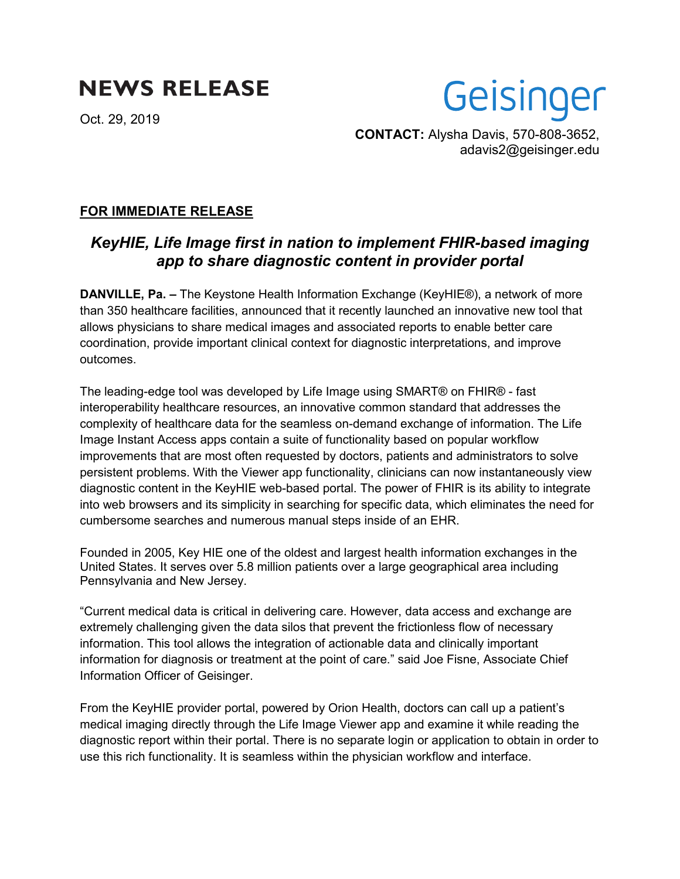# **NEWS RELEASE**

Oct. 29, 2019

**Geisinger** 

**CONTACT:** Alysha Davis, 570-808-3652, [adavis2@geisinger.edu](mailto:adavis2@geisinger.edu) 

### **FOR IMMEDIATE RELEASE**

## *KeyHIE, Life Image first in nation to implement FHIR-based imaging app to share diagnostic content in provider portal*

 **DANVILLE, Pa. –** The Keystone Health Information Exchange (KeyHIE®), a network of more than 350 healthcare facilities, announced that it recently launched an innovative new tool that allows physicians to share medical images and associated reports to enable better care coordination, provide important clinical context for diagnostic interpretations, and improve outcomes.

The leading-edge tool was developed by Life Image using SMART® on FHIR® - fast interoperability healthcare resources, an innovative common standard that addresses the complexity of healthcare data for the seamless on-demand exchange of information. The Life Image Instant Access apps contain a suite of functionality based on popular workflow improvements that are most often requested by doctors, patients and administrators to solve persistent problems. With the Viewer app functionality, clinicians can now instantaneously view diagnostic content in the KeyHIE web-based portal. The power of FHIR is its ability to integrate into web browsers and its simplicity in searching for specific data, which eliminates the need for cumbersome searches and numerous manual steps inside of an EHR.

Founded in 2005, Key HIE one of the oldest and largest health information exchanges in the United States. It serves over 5.8 million patients over a large geographical area including Pennsylvania and New Jersey.

 information. This tool allows the integration of actionable data and clinically important "Current medical data is critical in delivering care. However, data access and exchange are extremely challenging given the data silos that prevent the frictionless flow of necessary information for diagnosis or treatment at the point of care." said Joe Fisne, Associate Chief Information Officer of Geisinger.

From the KeyHIE provider portal, powered by Orion Health, doctors can call up a patient's medical imaging directly through the Life Image Viewer app and examine it while reading the diagnostic report within their portal. There is no separate login or application to obtain in order to use this rich functionality. It is seamless within the physician workflow and interface.